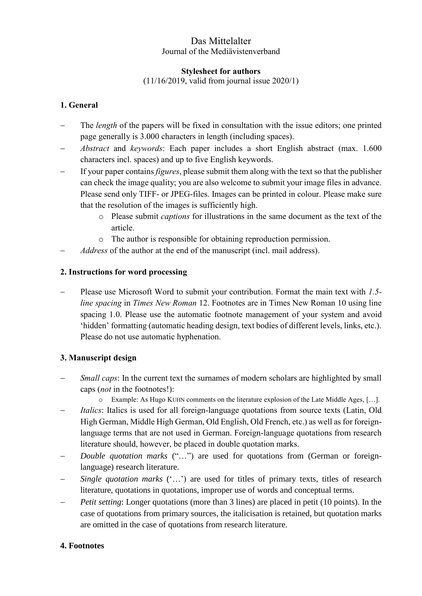# Das Mittelalter Journal of the Mediävistenverband

### **Stylesheet for authors**

(11/16/2019, valid from journal issue 2020/1)

## **1. General**

- The *length* of the papers will be fixed in consultation with the issue editors; one printed page generally is 3.000 characters in length (including spaces).
- *Abstract* and *keywords*: Each paper includes a short English abstract (max. 1.600 characters incl. spaces) and up to five English keywords.
- If your paper contains *figures*, please submit them along with the text so that the publisher can check the image quality; you are also welcome to submit your image files in advance. Please send only TIFF- or JPEG-files. Images can be printed in colour. Please make sure that the resolution of the images is sufficiently high.
	- o Please submit *captions* for illustrations in the same document as the text of the article.
	- o The author is responsible for obtaining reproduction permission.
- *Address* of the author at the end of the manuscript (incl. mail address).

### **2. Instructions for word processing**

 Please use Microsoft Word to submit your contribution. Format the main text with *1.5 line spacing* in *Times New Roman* 12. Footnotes are in Times New Roman 10 using line spacing 1.0. Please use the automatic footnote management of your system and avoid 'hidden' formatting (automatic heading design, text bodies of different levels, links, etc.). Please do not use automatic hyphenation.

### **3. Manuscript design**

- *Small caps*: In the current text the surnames of modern scholars are highlighted by small caps (*not* in the footnotes!):
	- o Example: As Hugo KUHN comments on the literature explosion of the Late Middle Ages, […].
- *Italics*: Italics is used for all foreign-language quotations from source texts (Latin, Old High German, Middle High German, Old English, Old French, etc.) as well as for foreignlanguage terms that are not used in German. Foreign-language quotations from research literature should, however, be placed in double quotation marks.
- *Double quotation marks* ("...") are used for quotations from (German or foreignlanguage) research literature.
- *Single quotation marks* ('...') are used for titles of primary texts, titles of research literature, quotations in quotations, improper use of words and conceptual terms.
- *Petit setting*: Longer quotations (more than 3 lines) are placed in petit (10 points). In the case of quotations from primary sources, the italicisation is retained, but quotation marks are omitted in the case of quotations from research literature.

### **4. Footnotes**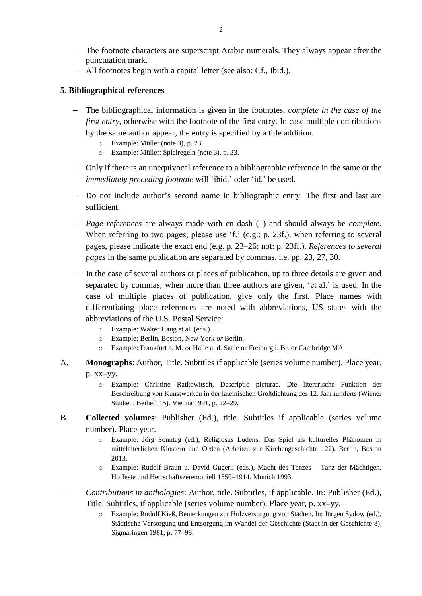All footnotes begin with a capital letter (see also: Cf., Ibid.).

#### **5. Bibliographical references**

punctuation mark.

- The bibliographical information is given in the footnotes, *complete in the case of the first entry*, otherwise with the footnote of the first entry. In case multiple contributions by the same author appear, the entry is specified by a title addition.
	- o Example: Müller (note 3), p. 23.
	- o Example: Müller: Spielregeln (note 3), p. 23.
- Only if there is an unequivocal reference to a bibliographic reference in the same or the *immediately preceding footnote* will 'ibid.' oder 'id.' be used.
- Do not include author's second name in bibliographic entry. The first and last are sufficient.
- *Page references* are always made with en dash (–) and should always be *complete*. When referring to two pages, please use 'f.' (e.g.: p. 23f.), when referring to several pages, please indicate the exact end (e.g. p. 23–26; not: p. 23ff.). *References to several pages* in the same publication are separated by commas, i.e. pp. 23, 27, 30.
- In the case of several authors or places of publication, up to three details are given and separated by commas; when more than three authors are given, 'et al.' is used. In the case of multiple places of publication, give only the first. Place names with differentiating place references are noted with abbreviations, US states with the abbreviations of the U.S. Postal Service:
	- o Example: Walter Haug et al. (eds.)
	- o Example: Berlin, Boston, New York *or* Berlin.
	- o Example: Frankfurt a. M. or Halle a. d. Saale or Freiburg i. Br. or Cambridge MA
- A. **Monographs**: Author, Title. Subtitles if applicable (series volume number). Place year, p. xx–yy.
	- o Example: Christine Ratkowitsch, Descriptio picturae. Die literarische Funktion der Beschreibung von Kunstwerken in der lateinischen Großdichtung des 12. Jahrhunderts (Wiener Studien. Beiheft 15). Vienna 1991, p. 22–29.
- B. **Collected volumes**: Publisher (Ed.), title. Subtitles if applicable (series volume number). Place year.
	- o Example: Jörg Sonntag (ed.), Religiosus Ludens. Das Spiel als kulturelles Phänomen in mittelalterlichen Klöstern und Orden (Arbeiten zur Kirchengeschichte 122). Berlin, Boston 2013.
	- o Example: Rudolf Braun u. David Gugerli (eds.), Macht des Tanzes Tanz der Mächtigen. Hoffeste und Herrschaftszeremoniell 1550–1914. Munich 1993.
- *Contributions in anthologies*: Author, title. Subtitles, if applicable. In: Publisher (Ed.), Title. Subtitles, if applicable (series volume number). Place year, p. xx–yy.
	- o Example: Rudolf Kieß, Bemerkungen zur Holzversorgung von Städten. In: Jürgen Sydow (ed.), Städtische Versorgung und Entsorgung im Wandel der Geschichte (Stadt in der Geschichte 8). Sigmaringen 1981, p. 77–98.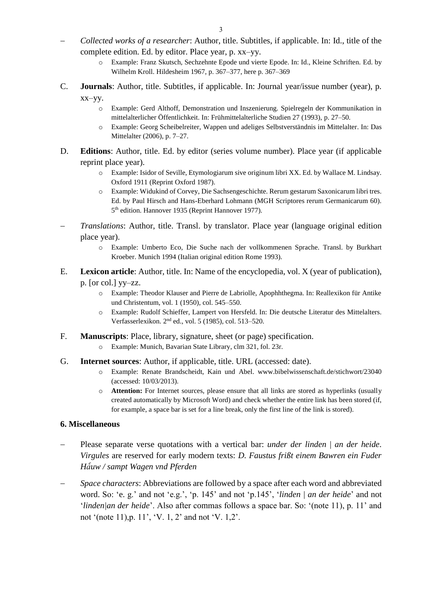- *Collected works of a researcher*: Author, title. Subtitles, if applicable. In: Id., title of the complete edition. Ed. by editor. Place year, p. xx–yy.
	- o Example: Franz Skutsch, Sechzehnte Epode und vierte Epode. In: Id., Kleine Schriften. Ed. by Wilhelm Kroll. Hildesheim 1967, p. 367–377, here p. 367–369
- C. **Journals**: Author, title. Subtitles, if applicable. In: Journal year/issue number (year), p. xx–yy.
	- o Example: Gerd Althoff, Demonstration und Inszenierung. Spielregeln der Kommunikation in mittelalterlicher Öffentlichkeit. In: Frühmittelalterliche Studien 27 (1993), p. 27–50.
	- o Example: Georg Scheibelreiter, Wappen und adeliges Selbstverständnis im Mittelalter. In: Das Mittelalter (2006), p. 7–27.
- D. **Editions**: Author, title. Ed. by editor (series volume number). Place year (if applicable reprint place year).
	- o Example: Isidor of Seville, Etymologiarum sive originum libri XX. Ed. by Wallace M. Lindsay. Oxford 1911 (Reprint Oxford 1987).
	- o Example: Widukind of Corvey, Die Sachsengeschichte. Rerum gestarum Saxonicarum libri tres. Ed. by Paul Hirsch and Hans-Eberhard Lohmann (MGH Scriptores rerum Germanicarum 60). 5 th edition. Hannover 1935 (Reprint Hannover 1977).
- *Translations*: Author, title. Transl. by translator. Place year (language original edition place year).
	- o Example: Umberto Eco, Die Suche nach der vollkommenen Sprache. Transl. by Burkhart Kroeber. Munich 1994 (Italian original edition Rome 1993).
- E. **Lexicon article**: Author, title. In: Name of the encyclopedia, vol. X (year of publication), p. [or col.] yy–zz.
	- o Example: Theodor Klauser and Pierre de Labriolle, Apophhthegma. In: Reallexikon für Antike und Christentum, vol. 1 (1950), col. 545–550.
	- o Example: Rudolf Schieffer, Lampert von Hersfeld. In: Die deutsche Literatur des Mittelalters. Verfasserlexikon. 2 nd ed., vol. 5 (1985), col. 513–520.
- F. **Manuscripts**: Place, library, signature, sheet (or page) specification.
	- o Example: Munich, Bavarian State Library, clm 321, fol. 23r.
- G. **Internet sources**: Author, if applicable, title. URL (accessed: date).
	- o Example: Renate Brandscheidt, Kain und Abel. www.bibelwissenschaft.de/stichwort/23040 (accessed: 10/03/2013).
	- o **Attention:** For Internet sources, please ensure that all links are stored as hyperlinks (usually created automatically by Microsoft Word) and check whether the entire link has been stored (if, for example, a space bar is set for a line break, only the first line of the link is stored).

#### **6. Miscellaneous**

- Please separate verse quotations with a vertical bar: *under der linden* | *an der heide*. *Virgules* are reserved for early modern texts: *D. Faustus frißt einem Bawren ein Fuder Ha ͤuw / sampt Wagen vnd Pferden*
- *Space characters*: Abbreviations are followed by a space after each word and abbreviated word. So: 'e. g.' and not 'e.g.', 'p. 145' and not 'p.145', '*linden | an der heide*' and not '*linden|an der heide*'. Also after commas follows a space bar. So: '(note 11), p. 11' and not '(note 11),p. 11', 'V. 1, 2' and not 'V. 1,2'.